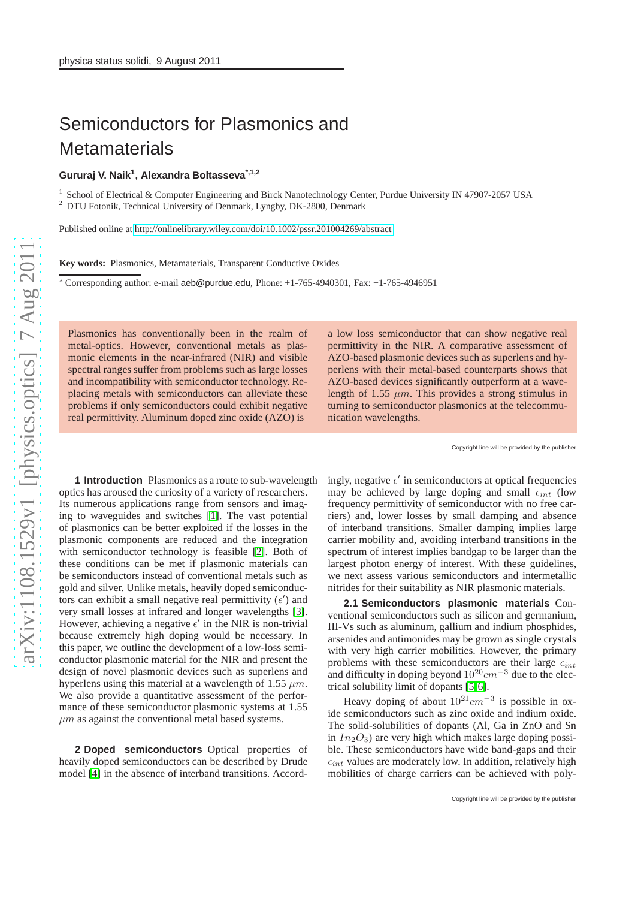## Semiconductors for Plasmonics and **Metamaterials**

## **Gururaj V. Naik<sup>1</sup> , Alexandra Boltasseva\*,1,2**

<sup>1</sup> School of Electrical & Computer Engineering and Birck Nanotechnology Center, Purdue University IN 47907-2057 USA <sup>2</sup> DTU Fotonik, Technical University of Denmark, Lyngby, DK-2800, Denmark

Published online at<http://onlinelibrary.wiley.com/doi/10.1002/pssr.201004269/abstract>

**Key words:** Plasmonics, Metamaterials, Transparent Conductive Oxides

<sup>∗</sup> Corresponding author: e-mail aeb@purdue.edu, Phone: +1-765-4940301, Fax: +1-765-4946951

Plasmonics has conventionally been in the realm of metal-optics. However, conventional metals as plasmonic elements in the near-infrared (NIR) and visible spectral ranges suffer from problems such as large losses and incompatibility with semiconductor technology. Replacing metals with semiconductors can alleviate these problems if only semiconductors could exhibit negative real permittivity. Aluminum doped zinc oxide (AZO) is

a low loss semiconductor that can show negative real permittivity in the NIR. A comparative assessment of AZO-based plasmonic devices such as superlens and hyperlens with their metal-based counterparts shows that AZO-based devices significantly outperform at a wavelength of 1.55  $\mu$ m. This provides a strong stimulus in turning to semiconductor plasmonics at the telecommunication wavelengths.

Copyright line will be provided by the publisher

**1 Introduction** Plasmonics as a route to sub-wavelength optics has aroused the curiosity of a variety of researchers. Its numerous applications range from sensors and imaging to waveguides and switches [\[1\]](#page-2-0). The vast potential of plasmonics can be better exploited if the losses in the plasmonic components are reduced and the integration with semiconductor technology is feasible [\[2\]](#page-2-1). Both of these conditions can be met if plasmonic materials can be semiconductors instead of conventional metals such as gold and silver. Unlike metals, heavily doped semiconductors can exhibit a small negative real permittivity  $(\epsilon')$  and very small losses at infrared and longer wavelengths [\[3\]](#page-2-2). However, achieving a negative  $\epsilon'$  in the NIR is non-trivial because extremely high doping would be necessary. In this paper, we outline the development of a low-loss semiconductor plasmonic material for the NIR and present the design of novel plasmonic devices such as superlens and hyperlens using this material at a wavelength of 1.55  $\mu$ m. We also provide a quantitative assessment of the performance of these semiconductor plasmonic systems at 1.55  $\mu$ m as against the conventional metal based systems.

**2 Doped semiconductors** Optical properties of heavily doped semiconductors can be described by Drude model [\[4\]](#page-2-3) in the absence of interband transitions. Accord-

ingly, negative  $\epsilon'$  in semiconductors at optical frequencies may be achieved by large doping and small  $\epsilon_{int}$  (low frequency permittivity of semiconductor with no free carriers) and, lower losses by small damping and absence of interband transitions. Smaller damping implies large carrier mobility and, avoiding interband transitions in the spectrum of interest implies bandgap to be larger than the largest photon energy of interest. With these guidelines, we next assess various semiconductors and intermetallic nitrides for their suitability as NIR plasmonic materials.

**2.1 Semiconductors plasmonic materials** Conventional semiconductors such as silicon and germanium, III-Vs such as aluminum, gallium and indium phosphides, arsenides and antimonides may be grown as single crystals with very high carrier mobilities. However, the primary problems with these semiconductors are their large  $\epsilon_{int}$ and difficulty in doping beyond  $10^{20}$ cm<sup>-3</sup> due to the electrical solubility limit of dopants [\[5,](#page-2-4)[6\]](#page-2-5).

Heavy doping of about  $10^{21}$ cm<sup>-3</sup> is possible in oxide semiconductors such as zinc oxide and indium oxide. The solid-solubilities of dopants (Al, Ga in ZnO and Sn in  $In_2O_3$ ) are very high which makes large doping possible. These semiconductors have wide band-gaps and their  $\epsilon_{int}$  values are moderately low. In addition, relatively high mobilities of charge carriers can be achieved with poly-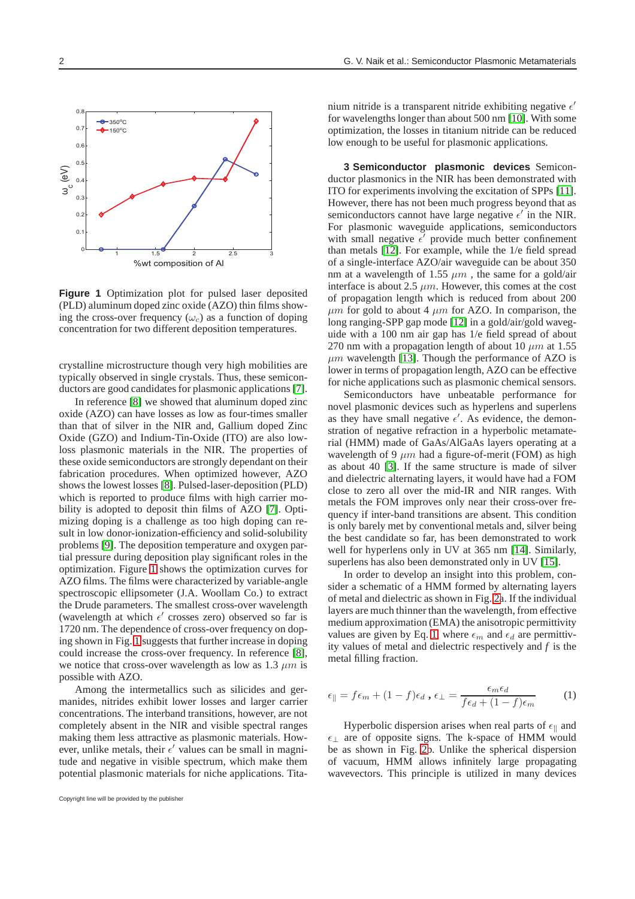

<span id="page-1-0"></span>**Figure 1** Optimization plot for pulsed laser deposited (PLD) aluminum doped zinc oxide (AZO) thin films showing the cross-over frequency  $(\omega_c)$  as a function of doping concentration for two different deposition temperatures.

crystalline microstructure though very high mobilities are typically observed in single crystals. Thus, these semiconductors are good candidates for plasmonic applications [\[7\]](#page-2-6).

In reference [\[8\]](#page-2-7) we showed that aluminum doped zinc oxide (AZO) can have losses as low as four-times smaller than that of silver in the NIR and, Gallium doped Zinc Oxide (GZO) and Indium-Tin-Oxide (ITO) are also lowloss plasmonic materials in the NIR. The properties of these oxide semiconductors are strongly dependant on their fabrication procedures. When optimized however, AZO shows the lowest losses [\[8\]](#page-2-7). Pulsed-laser-deposition (PLD) which is reported to produce films with high carrier mobility is adopted to deposit thin films of AZO [\[7\]](#page-2-6). Optimizing doping is a challenge as too high doping can result in low donor-ionization-efficiency and solid-solubility problems [\[9\]](#page-2-8). The deposition temperature and oxygen partial pressure during deposition play significant roles in the optimization. Figure [1](#page-1-0) shows the optimization curves for AZO films. The films were characterized by variable-angle spectroscopic ellipsometer (J.A. Woollam Co.) to extract the Drude parameters. The smallest cross-over wavelength (wavelength at which  $\epsilon'$  crosses zero) observed so far is 1720 nm. The dependence of cross-over frequency on doping shown in Fig. [1](#page-1-0) suggests that further increase in doping could increase the cross-over frequency. In reference [\[8\]](#page-2-7), we notice that cross-over wavelength as low as 1.3  $\mu$ m is possible with AZO.

Among the intermetallics such as silicides and germanides, nitrides exhibit lower losses and larger carrier concentrations. The interband transitions, however, are not completely absent in the NIR and visible spectral ranges making them less attractive as plasmonic materials. However, unlike metals, their  $\epsilon'$  values can be small in magnitude and negative in visible spectrum, which make them potential plasmonic materials for niche applications. Tita-

Copyright line will be provided by the publisher

nium nitride is a transparent nitride exhibiting negative  $\epsilon'$ for wavelengths longer than about 500 nm [\[10\]](#page-2-9). With some optimization, the losses in titanium nitride can be reduced low enough to be useful for plasmonic applications.

**3 Semiconductor plasmonic devices** Semiconductor plasmonics in the NIR has been demonstrated with ITO for experiments involving the excitation of SPPs [\[11\]](#page-2-10). However, there has not been much progress beyond that as semiconductors cannot have large negative  $\epsilon'$  in the NIR. For plasmonic waveguide applications, semiconductors with small negative  $\epsilon'$  provide much better confinement than metals [\[12\]](#page-2-11). For example, while the 1/e field spread of a single-interface AZO/air waveguide can be about 350 nm at a wavelength of 1.55  $\mu$ m, the same for a gold/air interface is about 2.5  $\mu$ m. However, this comes at the cost of propagation length which is reduced from about 200  $\mu$ m for gold to about 4  $\mu$ m for AZO. In comparison, the long ranging-SPP gap mode [\[12\]](#page-2-11) in a gold/air/gold waveguide with a 100 nm air gap has 1/e field spread of about 270 nm with a propagation length of about 10  $\mu$ m at 1.55  $\mu$ m wavelength [\[13\]](#page-2-12). Though the performance of AZO is lower in terms of propagation length, AZO can be effective for niche applications such as plasmonic chemical sensors.

Semiconductors have unbeatable performance for novel plasmonic devices such as hyperlens and superlens as they have small negative  $\epsilon'$ . As evidence, the demonstration of negative refraction in a hyperbolic metamaterial (HMM) made of GaAs/AlGaAs layers operating at a wavelength of 9  $\mu$ m had a figure-of-merit (FOM) as high as about 40 [\[3\]](#page-2-2). If the same structure is made of silver and dielectric alternating layers, it would have had a FOM close to zero all over the mid-IR and NIR ranges. With metals the FOM improves only near their cross-over frequency if inter-band transitions are absent. This condition is only barely met by conventional metals and, silver being the best candidate so far, has been demonstrated to work well for hyperlens only in UV at 365 nm [\[14\]](#page-2-13). Similarly, superlens has also been demonstrated only in UV [\[15\]](#page-2-14).

In order to develop an insight into this problem, consider a schematic of a HMM formed by alternating layers of metal and dielectric as shown in Fig. [2a](#page-2-15). If the individual layers are much thinner than the wavelength, from effective medium approximation (EMA) the anisotropic permittivity values are given by Eq. [1,](#page-1-1) where  $\epsilon_m$  and  $\epsilon_d$  are permittivity values of metal and dielectric respectively and *f* is the metal filling fraction.

<span id="page-1-1"></span>
$$
\epsilon_{\parallel} = f \epsilon_m + (1 - f) \epsilon_d , \epsilon_{\perp} = \frac{\epsilon_m \epsilon_d}{f \epsilon_d + (1 - f) \epsilon_m} \tag{1}
$$

Hyperbolic dispersion arises when real parts of  $\epsilon_{\parallel}$  and  $\epsilon_{\perp}$  are of opposite signs. The k-space of HMM would be as shown in Fig. [2b](#page-2-15). Unlike the spherical dispersion of vacuum, HMM allows infinitely large propagating wavevectors. This principle is utilized in many devices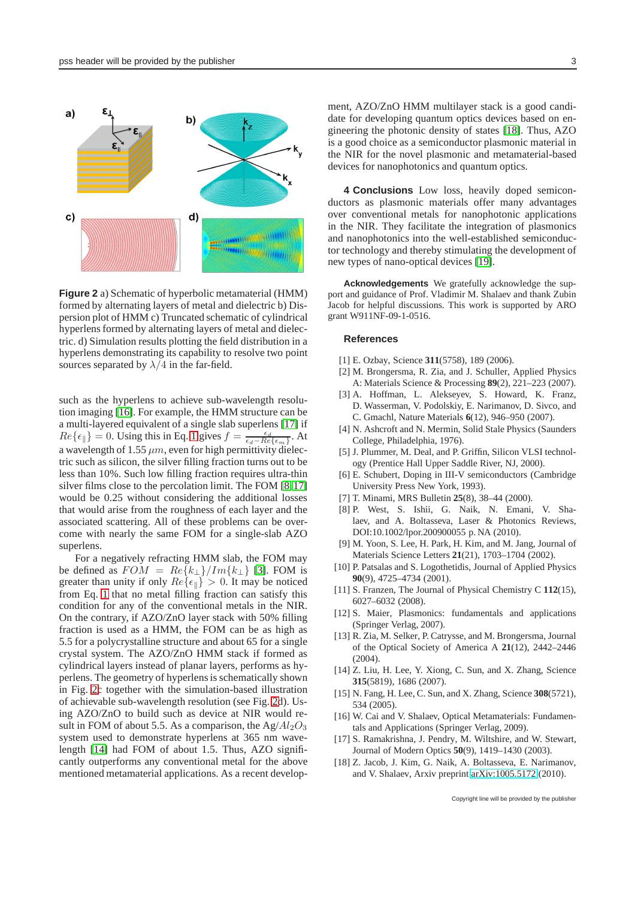

<span id="page-2-15"></span>**Figure 2** a) Schematic of hyperbolic metamaterial (HMM) formed by alternating layers of metal and dielectric b) Dispersion plot of HMM c) Truncated schematic of cylindrical hyperlens formed by alternating layers of metal and dielectric. d) Simulation results plotting the field distribution in a hyperlens demonstrating its capability to resolve two point sources separated by  $\lambda/4$  in the far-field.

such as the hyperlens to achieve sub-wavelength resolution imaging [\[16\]](#page-2-16). For example, the HMM structure can be a multi-layered equivalent of a single slab superlens [\[17\]](#page-2-17) if  $Re\{\epsilon_{\parallel}\}=0$ . Using this in Eq. [1](#page-1-1) gives  $f=\frac{\epsilon_d}{\epsilon_d-Re\{\epsilon_m\}}$ . At a wavelength of 1.55  $\mu$ m, even for high permittivity dielectric such as silicon, the silver filling fraction turns out to be less than 10%. Such low filling fraction requires ultra-thin silver films close to the percolation limit. The FOM [\[8,](#page-2-7)[17\]](#page-2-17) would be 0.25 without considering the additional losses that would arise from the roughness of each layer and the associated scattering. All of these problems can be overcome with nearly the same FOM for a single-slab AZO superlens.

For a negatively refracting HMM slab, the FOM may be defined as  $FOM = Re\{k_{\perp}\}/Im\{k_{\perp}\}$  [\[3\]](#page-2-2). FOM is greater than unity if only  $Re\{\epsilon_{\parallel}\} > 0$ . It may be noticed from Eq. [1](#page-1-1) that no metal filling fraction can satisfy this condition for any of the conventional metals in the NIR. On the contrary, if AZO/ZnO layer stack with 50% filling fraction is used as a HMM, the FOM can be as high as 5.5 for a polycrystalline structure and about 65 for a single crystal system. The AZO/ZnO HMM stack if formed as cylindrical layers instead of planar layers, performs as hyperlens. The geometry of hyperlens is schematically shown in Fig. [2c](#page-2-15) together with the simulation-based illustration of achievable sub-wavelength resolution (see Fig. [2d](#page-2-15)). Using AZO/ZnO to build such as device at NIR would result in FOM of about 5.5. As a comparison, the  $Ag/Al_2O_3$ system used to demonstrate hyperlens at 365 nm wavelength [\[14\]](#page-2-13) had FOM of about 1.5. Thus, AZO significantly outperforms any conventional metal for the above mentioned metamaterial applications. As a recent develop-

ment, AZO/ZnO HMM multilayer stack is a good candidate for developing quantum optics devices based on engineering the photonic density of states [\[18\]](#page-2-18). Thus, AZO is a good choice as a semiconductor plasmonic material in the NIR for the novel plasmonic and metamaterial-based devices for nanophotonics and quantum optics.

**4 Conclusions** Low loss, heavily doped semiconductors as plasmonic materials offer many advantages over conventional metals for nanophotonic applications in the NIR. They facilitate the integration of plasmonics and nanophotonics into the well-established semiconductor technology and thereby stimulating the development of new types of nano-optical devices [\[19\]](#page-3-0).

**Acknowledgements** We gratefully acknowledge the support and guidance of Prof. Vladimir M. Shalaev and thank Zubin Jacob for helpful discussions. This work is supported by ARO grant W911NF-09-1-0516.

## **References**

- <span id="page-2-1"></span><span id="page-2-0"></span>[1] E. Ozbay, Science **311**(5758), 189 (2006).
- [2] M. Brongersma, R. Zia, and J. Schuller, Applied Physics A: Materials Science & Processing **89**(2), 221–223 (2007).
- <span id="page-2-2"></span>[3] A. Hoffman, L. Alekseyev, S. Howard, K. Franz, D. Wasserman, V. Podolskiy, E. Narimanov, D. Sivco, and C. Gmachl, Nature Materials **6**(12), 946–950 (2007).
- <span id="page-2-3"></span>[4] N. Ashcroft and N. Mermin, Solid Stale Physics (Saunders College, Philadelphia, 1976).
- <span id="page-2-4"></span>[5] J. Plummer, M. Deal, and P. Griffin, Silicon VLSI technology (Prentice Hall Upper Saddle River, NJ, 2000).
- <span id="page-2-5"></span>[6] E. Schubert, Doping in III-V semiconductors (Cambridge University Press New York, 1993).
- <span id="page-2-7"></span><span id="page-2-6"></span>[7] T. Minami, MRS Bulletin **25**(8), 38–44 (2000).
- [8] P. West, S. Ishii, G. Naik, N. Emani, V. Shalaev, and A. Boltasseva, Laser & Photonics Reviews, DOI:10.1002/lpor.200900055 p. NA (2010).
- <span id="page-2-8"></span>[9] M. Yoon, S. Lee, H. Park, H. Kim, and M. Jang, Journal of Materials Science Letters **21**(21), 1703–1704 (2002).
- <span id="page-2-9"></span>[10] P. Patsalas and S. Logothetidis, Journal of Applied Physics **90**(9), 4725–4734 (2001).
- <span id="page-2-10"></span>[11] S. Franzen, The Journal of Physical Chemistry C **112**(15), 6027–6032 (2008).
- <span id="page-2-11"></span>[12] S. Maier, Plasmonics: fundamentals and applications (Springer Verlag, 2007).
- <span id="page-2-12"></span>[13] R. Zia, M. Selker, P. Catrysse, and M. Brongersma, Journal of the Optical Society of America A **21**(12), 2442–2446  $(2004)$ .
- <span id="page-2-13"></span>[14] Z. Liu, H. Lee, Y. Xiong, C. Sun, and X. Zhang, Science **315**(5819), 1686 (2007).
- <span id="page-2-14"></span>[15] N. Fang, H. Lee, C. Sun, and X. Zhang, Science **308**(5721), 534 (2005).
- <span id="page-2-16"></span>[16] W. Cai and V. Shalaev, Optical Metamaterials: Fundamentals and Applications (Springer Verlag, 2009).
- <span id="page-2-17"></span>[17] S. Ramakrishna, J. Pendry, M. Wiltshire, and W. Stewart, Journal of Modern Optics **50**(9), 1419–1430 (2003).
- <span id="page-2-18"></span>[18] Z. Jacob, J. Kim, G. Naik, A. Boltasseva, E. Narimanov, and V. Shalaev, Arxiv preprint [arXiv:1005.5172](http://arxiv.org/abs/1005.5172) (2010).